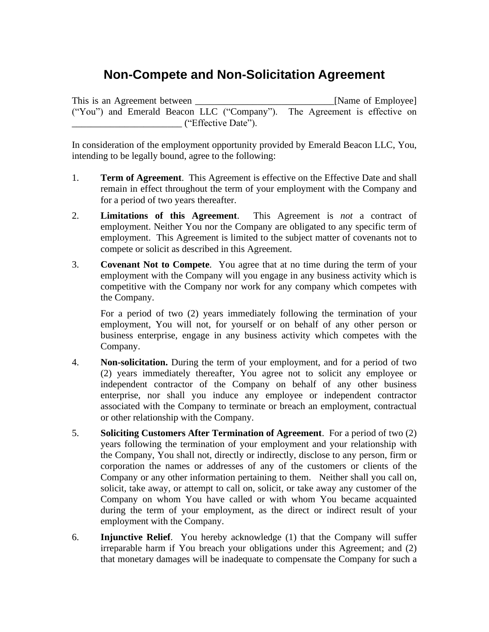## **Non-Compete and Non-Solicitation Agreement**

This is an Agreement between **This** is an Agreement between **The Secure 2** [Name of Employee] ("You") and Emerald Beacon LLC ("Company"). The Agreement is effective on \_\_\_\_\_\_\_\_\_\_\_\_\_\_\_\_\_\_\_\_\_\_\_ ("Effective Date").

In consideration of the employment opportunity provided by Emerald Beacon LLC, You, intending to be legally bound, agree to the following:

- 1. **Term of Agreement**. This Agreement is effective on the Effective Date and shall remain in effect throughout the term of your employment with the Company and for a period of two years thereafter.
- 2. **Limitations of this Agreement**. This Agreement is *not* a contract of employment. Neither You nor the Company are obligated to any specific term of employment. This Agreement is limited to the subject matter of covenants not to compete or solicit as described in this Agreement.
- 3. **Covenant Not to Compete**. You agree that at no time during the term of your employment with the Company will you engage in any business activity which is competitive with the Company nor work for any company which competes with the Company.

For a period of two (2) years immediately following the termination of your employment, You will not, for yourself or on behalf of any other person or business enterprise, engage in any business activity which competes with the Company.

- 4. **Non-solicitation.** During the term of your employment, and for a period of two (2) years immediately thereafter, You agree not to solicit any employee or independent contractor of the Company on behalf of any other business enterprise, nor shall you induce any employee or independent contractor associated with the Company to terminate or breach an employment, contractual or other relationship with the Company.
- 5. **Soliciting Customers After Termination of Agreement**. For a period of two (2) years following the termination of your employment and your relationship with the Company, You shall not, directly or indirectly, disclose to any person, firm or corporation the names or addresses of any of the customers or clients of the Company or any other information pertaining to them. Neither shall you call on, solicit, take away, or attempt to call on, solicit, or take away any customer of the Company on whom You have called or with whom You became acquainted during the term of your employment, as the direct or indirect result of your employment with the Company.
- 6. **Injunctive Relief**. You hereby acknowledge (1) that the Company will suffer irreparable harm if You breach your obligations under this Agreement; and (2) that monetary damages will be inadequate to compensate the Company for such a